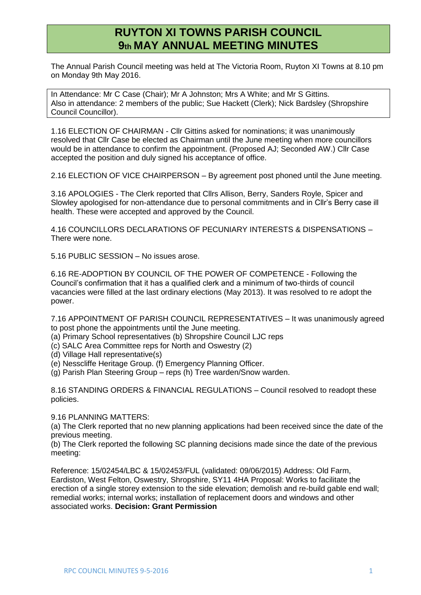## **RUYTON XI TOWNS PARISH COUNCIL 9th MAY ANNUAL MEETING MINUTES**

The Annual Parish Council meeting was held at The Victoria Room, Ruyton XI Towns at 8.10 pm on Monday 9th May 2016.

In Attendance: Mr C Case (Chair); Mr A Johnston; Mrs A White; and Mr S Gittins. Also in attendance: 2 members of the public; Sue Hackett (Clerk); Nick Bardsley (Shropshire Council Councillor).

1.16 ELECTION OF CHAIRMAN - Cllr Gittins asked for nominations; it was unanimously resolved that Cllr Case be elected as Chairman until the June meeting when more councillors would be in attendance to confirm the appointment. (Proposed AJ; Seconded AW.) Cllr Case accepted the position and duly signed his acceptance of office.

2.16 ELECTION OF VICE CHAIRPERSON – By agreement post phoned until the June meeting.

3.16 APOLOGIES - The Clerk reported that Cllrs Allison, Berry, Sanders Royle, Spicer and Slowley apologised for non-attendance due to personal commitments and in Cllr's Berry case ill health. These were accepted and approved by the Council.

4.16 COUNCILLORS DECLARATIONS OF PECUNIARY INTERESTS & DISPENSATIONS – There were none.

5.16 PUBLIC SESSION – No issues arose.

6.16 RE-ADOPTION BY COUNCIL OF THE POWER OF COMPETENCE - Following the Council's confirmation that it has a qualified clerk and a minimum of two-thirds of council vacancies were filled at the last ordinary elections (May 2013). It was resolved to re adopt the power.

7.16 APPOINTMENT OF PARISH COUNCIL REPRESENTATIVES – It was unanimously agreed to post phone the appointments until the June meeting.

- (a) Primary School representatives (b) Shropshire Council LJC reps
- (c) SALC Area Committee reps for North and Oswestry (2)
- (d) Village Hall representative(s)
- (e) Nesscliffe Heritage Group. (f) Emergency Planning Officer.
- (g) Parish Plan Steering Group reps (h) Tree warden/Snow warden.

8.16 STANDING ORDERS & FINANCIAL REGULATIONS – Council resolved to readopt these policies.

9.16 PLANNING MATTERS:

(a) The Clerk reported that no new planning applications had been received since the date of the previous meeting.

(b) The Clerk reported the following SC planning decisions made since the date of the previous meeting:

Reference: 15/02454/LBC & 15/02453/FUL (validated: 09/06/2015) Address: Old Farm, Eardiston, West Felton, Oswestry, Shropshire, SY11 4HA Proposal: Works to facilitate the erection of a single storey extension to the side elevation; demolish and re-build gable end wall; remedial works; internal works; installation of replacement doors and windows and other associated works. **Decision: Grant Permission**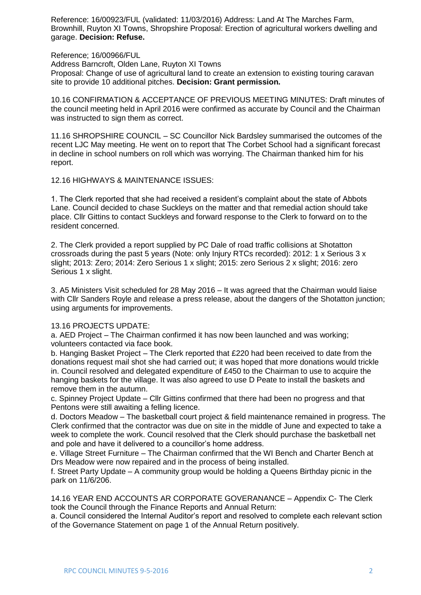Reference: 16/00923/FUL (validated: 11/03/2016) Address: Land At The Marches Farm, Brownhill, Ruyton XI Towns, Shropshire Proposal: Erection of agricultural workers dwelling and garage. **Decision: Refuse.** 

Reference; 16/00966/FUL

Address Barncroft, Olden Lane, Ruyton XI Towns

Proposal: Change of use of agricultural land to create an extension to existing touring caravan site to provide 10 additional pitches. **Decision: Grant permission.** 

10.16 CONFIRMATION & ACCEPTANCE OF PREVIOUS MEETING MINUTES: Draft minutes of the council meeting held in April 2016 were confirmed as accurate by Council and the Chairman was instructed to sign them as correct.

11.16 SHROPSHIRE COUNCIL – SC Councillor Nick Bardsley summarised the outcomes of the recent LJC May meeting. He went on to report that The Corbet School had a significant forecast in decline in school numbers on roll which was worrying. The Chairman thanked him for his report.

12.16 HIGHWAYS & MAINTENANCE ISSUES:

1. The Clerk reported that she had received a resident's complaint about the state of Abbots Lane. Council decided to chase Suckleys on the matter and that remedial action should take place. Cllr Gittins to contact Suckleys and forward response to the Clerk to forward on to the resident concerned.

2. The Clerk provided a report supplied by PC Dale of road traffic collisions at Shotatton crossroads during the past 5 years (Note: only Injury RTCs recorded): 2012: 1 x Serious 3 x slight; 2013: Zero; 2014: Zero Serious 1 x slight; 2015: zero Serious 2 x slight; 2016: zero Serious 1 x slight.

3. A5 Ministers Visit scheduled for 28 May 2016 – It was agreed that the Chairman would liaise with Cllr Sanders Royle and release a press release, about the dangers of the Shotatton junction; using arguments for improvements.

## 13.16 PROJECTS UPDATE:

a. AED Project – The Chairman confirmed it has now been launched and was working; volunteers contacted via face book.

b. Hanging Basket Project – The Clerk reported that £220 had been received to date from the donations request mail shot she had carried out; it was hoped that more donations would trickle in. Council resolved and delegated expenditure of £450 to the Chairman to use to acquire the hanging baskets for the village. It was also agreed to use D Peate to install the baskets and remove them in the autumn.

c. Spinney Project Update – Cllr Gittins confirmed that there had been no progress and that Pentons were still awaiting a felling licence.

d. Doctors Meadow – The basketball court project & field maintenance remained in progress. The Clerk confirmed that the contractor was due on site in the middle of June and expected to take a week to complete the work. Council resolved that the Clerk should purchase the basketball net and pole and have it delivered to a councillor's home address.

e. Village Street Furniture – The Chairman confirmed that the WI Bench and Charter Bench at Drs Meadow were now repaired and in the process of being installed.

f. Street Party Update – A community group would be holding a Queens Birthday picnic in the park on 11/6/206.

14.16 YEAR END ACCOUNTS AR CORPORATE GOVERANANCE – Appendix C- The Clerk took the Council through the Finance Reports and Annual Return:

a. Council considered the Internal Auditor's report and resolved to complete each relevant sction of the Governance Statement on page 1 of the Annual Return positively.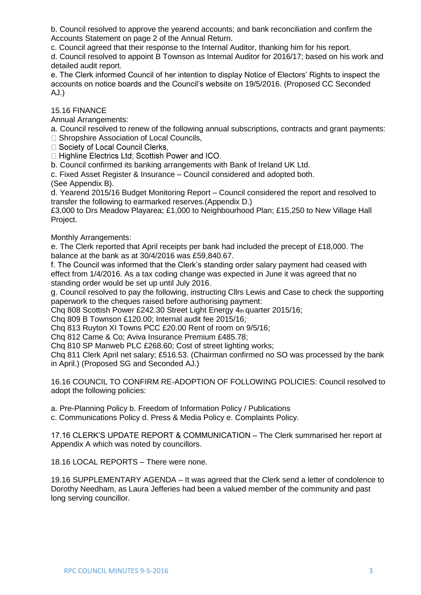b. Council resolved to approve the yearend accounts; and bank reconciliation and confirm the Accounts Statement on page 2 of the Annual Return.

c. Council agreed that their response to the Internal Auditor, thanking him for his report.

d. Council resolved to appoint B Townson as Internal Auditor for 2016/17; based on his work and detailed audit report.

e. The Clerk informed Council of her intention to display Notice of Electors' Rights to inspect the accounts on notice boards and the Council's website on 19/5/2016. (Proposed CC Seconded AJ.)

## 15.16 FINANCE

Annual Arrangements:

a. Council resolved to renew of the following annual subscriptions, contracts and grant payments:

□ Shropshire Association of Local Councils,<br>□ Society of Local Council Clerks,

□ Highline Electrics Ltd: Scottish Power and ICO.

b. Council confirmed its banking arrangements with Bank of Ireland UK Ltd.

c. Fixed Asset Register & Insurance – Council considered and adopted both.

(See Appendix B).

d. Yearend 2015/16 Budget Monitoring Report – Council considered the report and resolved to transfer the following to earmarked reserves.(Appendix D.)

£3,000 to Drs Meadow Playarea; £1,000 to Neighbourhood Plan; £15,250 to New Village Hall Project.

Monthly Arrangements:

e. The Clerk reported that April receipts per bank had included the precept of £18,000. The balance at the bank as at 30/4/2016 was £59,840.67.

f. The Council was informed that the Clerk's standing order salary payment had ceased with effect from 1/4/2016. As a tax coding change was expected in June it was agreed that no standing order would be set up until July 2016.

g. Council resolved to pay the following, instructing Cllrs Lewis and Case to check the supporting paperwork to the cheques raised before authorising payment:

Chq 808 Scottish Power £242.30 Street Light Energy 4th quarter 2015/16;

Chq 809 B Townson £120.00; Internal audit fee 2015/16;

Chq 813 Ruyton XI Towns PCC £20.00 Rent of room on 9/5/16;

Cha 812 Came & Co: Aviva Insurance Premium £485.78;

Chq 810 SP Manweb PLC £268.60; Cost of street lighting works;

Chq 811 Clerk April net salary; £516.53. (Chairman confirmed no SO was processed by the bank in April.) (Proposed SG and Seconded AJ.)

16.16 COUNCIL TO CONFIRM RE-ADOPTION OF FOLLOWING POLICIES: Council resolved to adopt the following policies:

a. Pre-Planning Policy b. Freedom of Information Policy / Publications

c. Communications Policy d. Press & Media Policy e. Complaints Policy.

17.16 CLERK'S UPDATE REPORT & COMMUNICATION – The Clerk summarised her report at Appendix A which was noted by councillors.

18.16 LOCAL REPORTS – There were none.

19.16 SUPPLEMENTARY AGENDA – It was agreed that the Clerk send a letter of condolence to Dorothy Needham, as Laura Jefferies had been a valued member of the community and past long serving councillor.